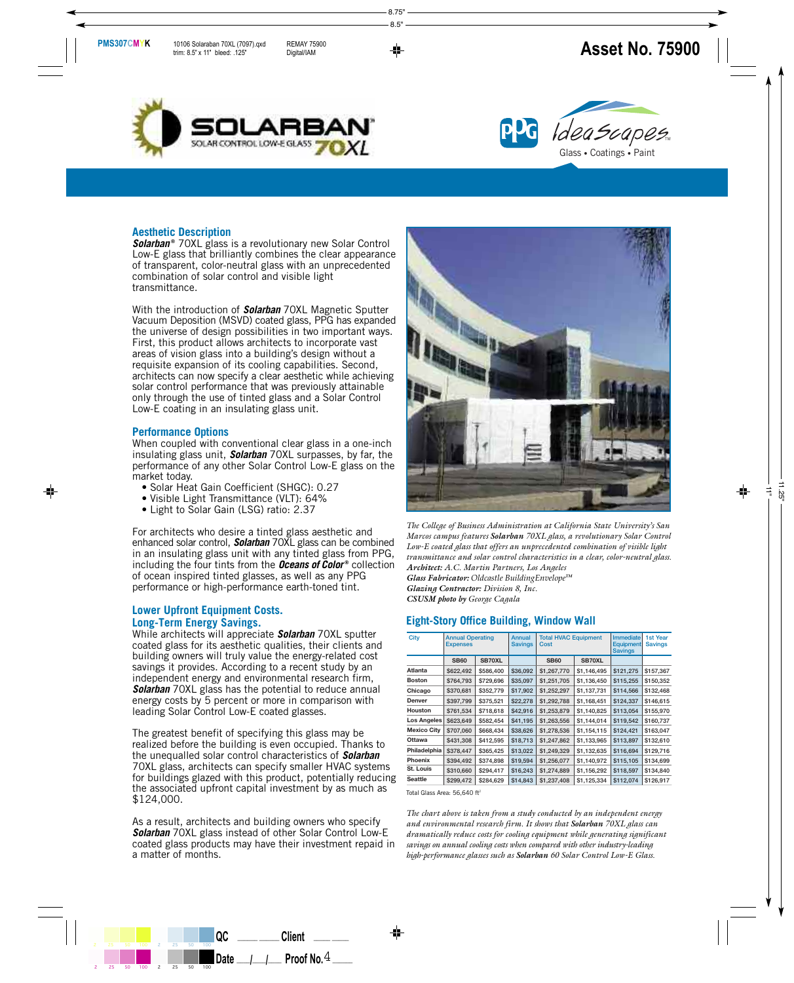



### **Aesthetic Description**

**Solarban**<sup>®</sup> 70XL glass is a revolutionary new Solar Control Low-E glass that brilliantly combines the clear appearance of transparent, color-neutral glass with an unprecedented combination of solar control and visible light transmittance.

With the introduction of *Solarban* 70XL Magnetic Sputter Vacuum Deposition (MSVD) coated glass, PPG has expanded the universe of design possibilities in two important ways. First, this product allows architects to incorporate vast areas of vision glass into a building's design without a requisite expansion of its cooling capabilities. Second, architects can now specify a clear aesthetic while achieving solar control performance that was previously attainable only through the use of tinted glass and a Solar Control Low-E coating in an insulating glass unit.

### **Performance Options**

When coupled with conventional clear glass in a one-inch insulating glass unit, *Solarban* 70XL surpasses, by far, the performance of any other Solar Control Low-E glass on the market today.

- Solar Heat Gain Coefficient (SHGC): 0.27
- Visible Light Transmittance (VLT): 64%
- Light to Solar Gain (LSG) ratio: 2.37

For architects who desire a tinted glass aesthetic and enhanced solar control, *Solarban* 70XL glass can be combined in an insulating glass unit with any tinted glass from PPG, including the four tints from the *Oceans of Color* **®** collection of ocean inspired tinted glasses, as well as any PPG performance or high-performance earth-toned tint.

### **Lower Upfront Equipment Costs. Long-Term Energy Savings.**

While architects will appreciate *Solarban* 70XL sputter coated glass for its aesthetic qualities, their clients and building owners will truly value the energy-related cost savings it provides. According to a recent study by an independent energy and environmental research firm, *Solarban* 70XL glass has the potential to reduce annual energy costs by 5 percent or more in comparison with leading Solar Control Low-E coated glasses.

The greatest benefit of specifying this glass may be realized before the building is even occupied. Thanks to the unequalled solar control characteristics of *Solarban* 70XL glass, architects can specify smaller HVAC systems for buildings glazed with this product, potentially reducing the associated upfront capital investment by as much as \$124,000.

As a result, architects and building owners who specify *Solarban* 70XL glass instead of other Solar Control Low-E coated glass products may have their investment repaid in a matter of months.



*The College of Business Administration at California State University's San Marcos campus features Solarban 70XL glass, a revolutionary Solar Control Low-E coated glass that offers an unprecedented combination of visible light transmittance and solar control characteristics in a clear, color-neutral glass. Architect: A.C. Martin Partners, Los Angeles Glass Fabricator: Oldcastle BuildingEnvelopeTM Glazing Contractor: Division 8, Inc. CSUSM photo by George Cagala*

### **Eight-Story Office Building, Window Wall**

| City               | <b>Annual Operating</b><br><b>Expenses</b> |           | <b>Annual</b><br><b>Savings</b> | <b>Total HVAC Equipment</b><br>Cost |             | <b>Immediate</b><br><b>Equipment</b><br><b>Savings</b> | 1st Year<br><b>Savings</b> |
|--------------------|--------------------------------------------|-----------|---------------------------------|-------------------------------------|-------------|--------------------------------------------------------|----------------------------|
|                    | <b>SB60</b>                                | SB70XL    |                                 | <b>SB60</b>                         | SB70XL      |                                                        |                            |
| Atlanta            | \$622,492                                  | \$586,400 | \$36,092                        | \$1,267,770                         | \$1,146,495 | \$121,275                                              | \$157,367                  |
| <b>Boston</b>      | \$764,793                                  | \$729,696 | \$35,097                        | \$1,251,705                         | \$1,136,450 | \$115,255                                              | \$150,352                  |
| Chicago            | \$370,681                                  | \$352,779 | \$17,902                        | \$1,252,297                         | \$1,137,731 | \$114,566                                              | \$132,468                  |
| Denver             | \$397,799                                  | \$375,521 | \$22,278                        | \$1,292,788                         | \$1,168,451 | \$124,337                                              | \$146,615                  |
| <b>Houston</b>     | \$761,534                                  | \$718,618 | \$42,916                        | \$1,253,879                         | \$1,140,825 | \$113,054                                              | \$155,970                  |
| Los Angeles        | \$623,649                                  | \$582,454 | \$41,195                        | \$1,263,556                         | \$1,144,014 | \$119,542                                              | \$160,737                  |
| <b>Mexico City</b> | \$707,060                                  | \$668,434 | \$38,626                        | \$1,278,536                         | \$1,154,115 | \$124,421                                              | \$163,047                  |
| Ottawa             | \$431,308                                  | \$412,595 | \$18,713                        | \$1,247,862                         | \$1,133,965 | \$113,897                                              | \$132,610                  |
| Philadelphia       | \$378,447                                  | \$365,425 | \$13,022                        | \$1,249,329                         | \$1,132,635 | \$116,694                                              | \$129,716                  |
| <b>Phoenix</b>     | \$394,492                                  | \$374,898 | \$19,594                        | \$1,256,077                         | \$1,140,972 | \$115,105                                              | \$134,699                  |
| St. Louis          | \$310,660                                  | \$294,417 | \$16,243                        | \$1,274,889                         | \$1,156,292 | \$118,597                                              | \$134,840                  |
| <b>Seattle</b>     | \$299,472                                  | \$284,629 | \$14,843                        | \$1,237,408                         | \$1,125,334 | \$112,074                                              | \$126,917                  |

Total Glass Area: 56,640 ft 2

*The chart above is taken from a study conducted by an independent energy and environmental research firm. It shows that Solarban 70XL glass can dramatically reduce costs for cooling equipment while generating significant savings on annual cooling costs when compared with other industry-leading high-performance glasses such as Solarban 60 Solar Control Low-E Glass.*